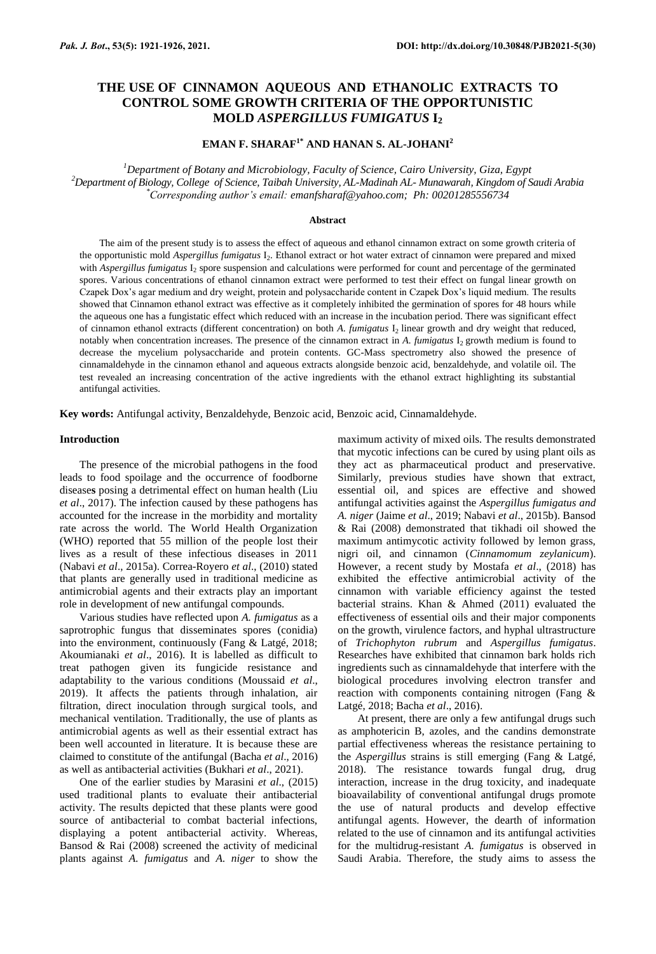# **THE USE OF CINNAMON AQUEOUS AND ETHANOLIC EXTRACTS TO CONTROL SOME GROWTH CRITERIA OF THE OPPORTUNISTIC MOLD** *ASPERGILLUS FUMIGATUS* **I<sup>2</sup>**

### **EMAN F. SHARAF1\* AND HANAN S. AL-JOHANI<sup>2</sup>**

*<sup>1</sup>Department of Botany and Microbiology, Faculty of Science, Cairo University, Giza, Egypt <sup>2</sup>Department of Biology, College of Science, Taibah University, AL-Madinah AL- Munawarah, Kingdom of Saudi Arabia \*Corresponding author's email: [emanfsharaf@yahoo.com;](mailto:emanfsharaf@yahoo.com) Ph: 00201285556734*

#### **Abstract**

The aim of the present study is to assess the effect of aqueous and ethanol cinnamon extract on some growth criteria of the opportunistic mold *Aspergillus fumigatus* I<sub>2</sub>. Ethanol extract or hot water extract of cinnamon were prepared and mixed with *Aspergillus fumigatus* I<sub>2</sub> spore suspension and calculations were performed for count and percentage of the germinated spores. Various concentrations of ethanol cinnamon extract were performed to test their effect on fungal linear growth on Czapek Dox's agar medium and dry weight, protein and polysaccharide content in Czapek Dox's liquid medium. The results showed that Cinnamon ethanol extract was effective as it completely inhibited the germination of spores for 48 hours while the aqueous one has a fungistatic effect which reduced with an increase in the incubation period. There was significant effect of cinnamon ethanol extracts (different concentration) on both *A. fumigatus* I<sup>2</sup> linear growth and dry weight that reduced, notably when concentration increases. The presence of the cinnamon extract in *A. fumigatus* I<sub>2</sub> growth medium is found to decrease the mycelium polysaccharide and protein contents. GC-Mass spectrometry also showed the presence of cinnamaldehyde in the cinnamon ethanol and aqueous extracts alongside benzoic acid, benzaldehyde, and volatile oil. The test revealed an increasing concentration of the active ingredients with the ethanol extract highlighting its substantial antifungal activities.

**Key words:** Antifungal activity, Benzaldehyde, Benzoic acid, Benzoic acid, Cinnamaldehyde.

#### **Introduction**

The presence of the microbial pathogens in the food leads to food spoilage and the occurrence of foodborne disease**s** posing a detrimental effect on human health (Liu *et al*., 2017). The infection caused by these pathogens has accounted for the increase in the morbidity and mortality rate across the world. The World Health Organization (WHO) reported that 55 million of the people lost their lives as a result of these infectious diseases in 2011 (Nabavi *et al*., 2015a). Correa-Royero *et al*., (2010) stated that plants are generally used in traditional medicine as antimicrobial agents and their extracts play an important role in development of new antifungal compounds.

Various studies have reflected upon *A. fumigatus* as a saprotrophic fungus that disseminates spores (conidia) into the environment, continuously (Fang & Latgé, 2018; Akoumianaki *et al*., 2016). It is labelled as difficult to treat pathogen given its fungicide resistance and adaptability to the various conditions (Moussaid *et al*., 2019). It affects the patients through inhalation, air filtration, direct inoculation through surgical tools, and mechanical ventilation. Traditionally, the use of plants as antimicrobial agents as well as their essential extract has been well accounted in literature. It is because these are claimed to constitute of the antifungal (Bacha *et al*., 2016) as well as antibacterial activities (Bukhari *et al*., 2021).

One of the earlier studies by Marasini *et al*., (2015) used traditional plants to evaluate their antibacterial activity. The results depicted that these plants were good source of antibacterial to combat bacterial infections, displaying a potent antibacterial activity. Whereas, Bansod & Rai (2008) screened the activity of medicinal plants against *A. fumigatus* and *A. niger* to show the

maximum activity of mixed oils. The results demonstrated that mycotic infections can be cured by using plant oils as they act as pharmaceutical product and preservative. Similarly, previous studies have shown that extract, essential oil, and spices are effective and showed antifungal activities against the *Aspergillus fumigatus and A. niger* (Jaime *et al*., 2019; Nabavi *et al*., 2015b). Bansod & Rai (2008) demonstrated that tikhadi oil showed the maximum antimycotic activity followed by lemon grass, nigri oil, and cinnamon (*Cinnamomum zeylanicum*). However, a recent study by Mostafa *et al*., (2018) has exhibited the effective antimicrobial activity of the cinnamon with variable efficiency against the tested bacterial strains. Khan & Ahmed (2011) evaluated the effectiveness of essential oils and their major components on the growth, virulence factors, and hyphal ultrastructure of *Trichophyton rubrum* and *Aspergillus fumigatus*. Researches have exhibited that cinnamon bark holds rich ingredients such as cinnamaldehyde that interfere with the biological procedures involving electron transfer and reaction with components containing nitrogen (Fang & Latgé, 2018; Bacha *et al*., 2016).

At present, there are only a few antifungal drugs such as amphotericin B, azoles, and the candins demonstrate partial effectiveness whereas the resistance pertaining to the *Aspergillus* strains is still emerging (Fang & Latgé, 2018). The resistance towards fungal drug, drug interaction, increase in the drug toxicity, and inadequate bioavailability of conventional antifungal drugs promote the use of natural products and develop effective antifungal agents. However, the dearth of information related to the use of cinnamon and its antifungal activities for the multidrug-resistant *A. fumigatus* is observed in Saudi Arabia. Therefore, the study aims to assess the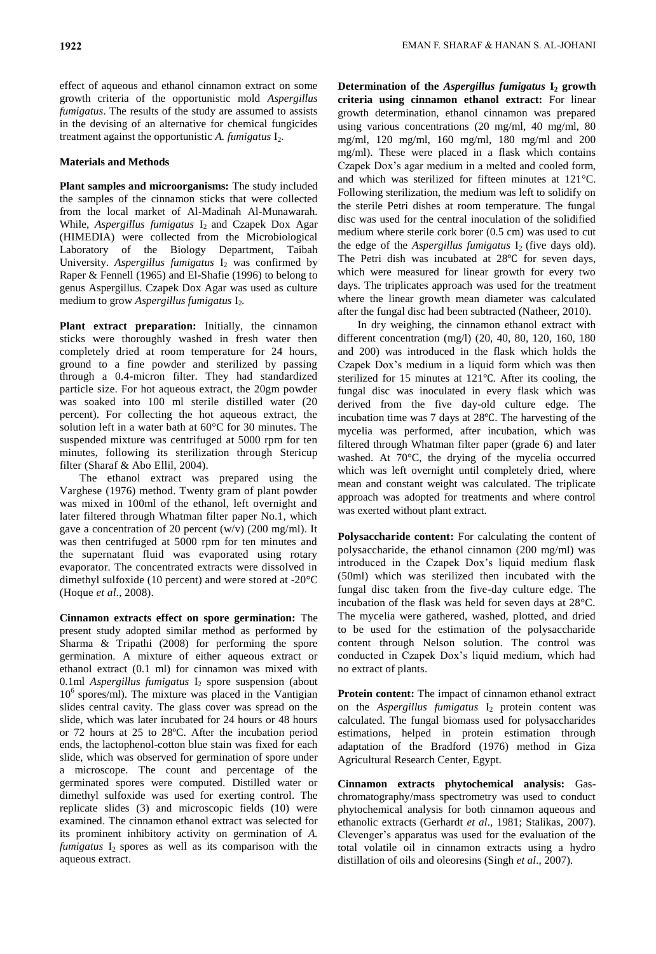effect of aqueous and ethanol cinnamon extract on some growth criteria of the opportunistic mold *Aspergillus fumigatus*. The results of the study are assumed to assists in the devising of an alternative for chemical fungicides treatment against the opportunistic *A. fumigatus* I<sub>2</sub>.

## **Materials and Methods**

**Plant samples and microorganisms:** The study included the samples of the cinnamon sticks that were collected from the local market of Al-Madinah Al-Munawarah. While, *Aspergillus fumigatus* I<sub>2</sub> and Czapek Dox Agar (HIMEDIA) were collected from the Microbiological Laboratory of the Biology Department, Taibah University. *Aspergillus fumigatus*  $I_2$  was confirmed by Raper & Fennell (1965) and El-Shafie (1996) to belong to genus Aspergillus. Czapek Dox Agar was used as culture medium to grow *Aspergillus fumigatus* I<sub>2</sub>.

**Plant extract preparation:** Initially, the cinnamon sticks were thoroughly washed in fresh water then completely dried at room temperature for 24 hours, ground to a fine powder and sterilized by passing through a 0.4-micron filter. They had standardized particle size. For hot aqueous extract, the 20gm powder was soaked into 100 ml sterile distilled water (20 percent). For collecting the hot aqueous extract, the solution left in a water bath at 60°C for 30 minutes. The suspended mixture was centrifuged at 5000 rpm for ten minutes, following its sterilization through Stericup filter (Sharaf & Abo Ellil, 2004).

The ethanol extract was prepared using the Varghese (1976) method. Twenty gram of plant powder was mixed in 100ml of the ethanol, left overnight and later filtered through Whatman filter paper No.1, which gave a concentration of 20 percent (w/v) (200 mg/ml). It was then centrifuged at 5000 rpm for ten minutes and the supernatant fluid was evaporated using rotary evaporator. The concentrated extracts were dissolved in dimethyl sulfoxide (10 percent) and were stored at -20°C (Hoque *et al*., 2008).

**Cinnamon extracts effect on spore germination:** The present study adopted similar method as performed by Sharma & Tripathi (2008) for performing the spore germination. A mixture of either aqueous extract or ethanol extract (0.1 ml) for cinnamon was mixed with 0.1ml *Aspergillus fumigatus* I<sub>2</sub> spore suspension (about 10<sup>6</sup> spores/ml). The mixture was placed in the Vantigian slides central cavity. The glass cover was spread on the slide, which was later incubated for 24 hours or 48 hours or 72 hours at 25 to 28ºC. After the incubation period ends, the lactophenol-cotton blue stain was fixed for each slide, which was observed for germination of spore under a microscope. The count and percentage of the germinated spores were computed. Distilled water or dimethyl sulfoxide was used for exerting control. The replicate slides (3) and microscopic fields (10) were examined. The cinnamon ethanol extract was selected for its prominent inhibitory activity on germination of *A.*   $f$ umigatus  $I_2$  spores as well as its comparison with the aqueous extract.

**Determination of the** *Aspergillus fumigatus* **I<sup>2</sup> growth criteria using cinnamon ethanol extract:** For linear growth determination, ethanol cinnamon was prepared using various concentrations (20 mg/ml, 40 mg/ml, 80 mg/ml, 120 mg/ml, 160 mg/ml, 180 mg/ml and 200 mg/ml). These were placed in a flask which contains Czapek Dox's agar medium in a melted and cooled form, and which was sterilized for fifteen minutes at 121°C. Following sterilization, the medium was left to solidify on the sterile Petri dishes at room temperature. The fungal disc was used for the central inoculation of the solidified medium where sterile cork borer (0.5 cm) was used to cut the edge of the *Aspergillus fumigatus* I<sub>2</sub> (five days old). The Petri dish was incubated at 28℃ for seven days, which were measured for linear growth for every two days. The triplicates approach was used for the treatment where the linear growth mean diameter was calculated after the fungal disc had been subtracted (Natheer, 2010).

In dry weighing, the cinnamon ethanol extract with different concentration (mg/l) (20, 40, 80, 120, 160, 180 and 200) was introduced in the flask which holds the Czapek Dox's medium in a liquid form which was then sterilized for 15 minutes at 121℃. After its cooling, the fungal disc was inoculated in every flask which was derived from the five day-old culture edge. The incubation time was 7 days at 28℃. The harvesting of the mycelia was performed, after incubation, which was filtered through Whatman filter paper (grade 6) and later washed. At 70°C, the drying of the mycelia occurred which was left overnight until completely dried, where mean and constant weight was calculated. The triplicate approach was adopted for treatments and where control was exerted without plant extract.

**Polysaccharide content:** For calculating the content of polysaccharide, the ethanol cinnamon (200 mg/ml) was introduced in the Czapek Dox's liquid medium flask (50ml) which was sterilized then incubated with the fungal disc taken from the five-day culture edge. The incubation of the flask was held for seven days at 28°C. The mycelia were gathered, washed, plotted, and dried to be used for the estimation of the polysaccharide content through Nelson solution. The control was conducted in Czapek Dox's liquid medium, which had no extract of plants.

**Protein content:** The impact of cinnamon ethanol extract on the *Aspergillus fumigatus* I<sub>2</sub> protein content was calculated. The fungal biomass used for polysaccharides estimations, helped in protein estimation through adaptation of the Bradford (1976) method in Giza Agricultural Research Center, Egypt.

**Cinnamon extracts phytochemical analysis:** Gaschromatography/mass spectrometry was used to conduct phytochemical analysis for both cinnamon aqueous and ethanolic extracts (Gerhardt *et al*., 1981; Stalikas, 2007). Clevenger's apparatus was used for the evaluation of the total volatile oil in cinnamon extracts using a hydro distillation of oils and oleoresins (Singh *et al*., 2007).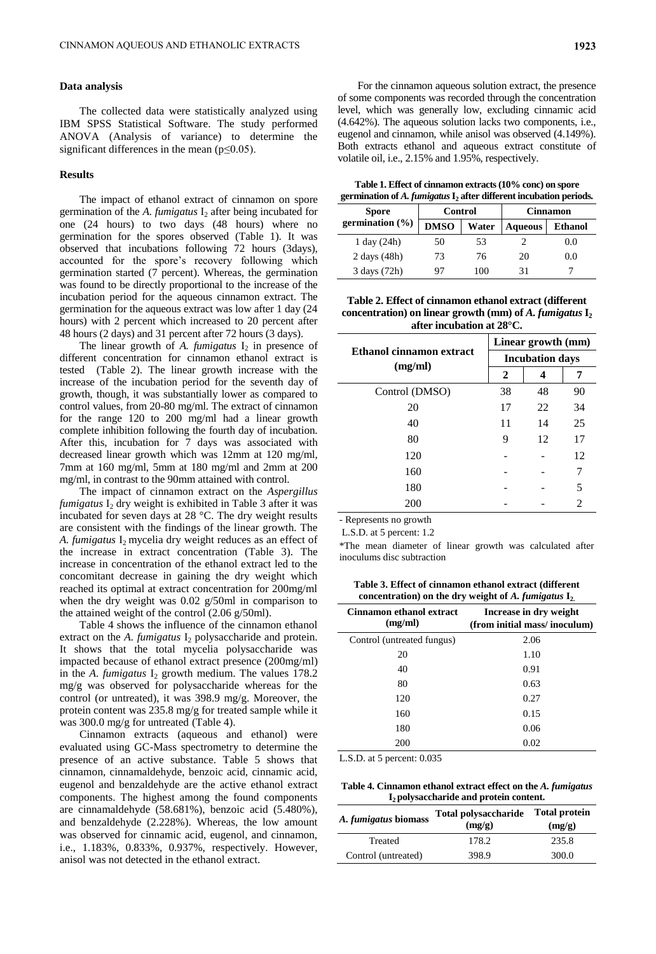#### **Data analysis**

The collected data were statistically analyzed using IBM SPSS Statistical Software. The study performed ANOVA (Analysis of variance) to determine the significant differences in the mean  $(p \le 0.05)$ .

#### **Results**

The impact of ethanol extract of cinnamon on spore germination of the *A. fumigatus* I<sub>2</sub> after being incubated for one (24 hours) to two days (48 hours) where no germination for the spores observed (Table 1). It was observed that incubations following 72 hours (3days), accounted for the spore's recovery following which germination started (7 percent). Whereas, the germination was found to be directly proportional to the increase of the incubation period for the aqueous cinnamon extract. The germination for the aqueous extract was low after 1 day (24 hours) with 2 percent which increased to 20 percent after 48 hours (2 days) and 31 percent after 72 hours (3 days).

The linear growth of  $A$ . *fumigatus*  $I_2$  in presence of different concentration for cinnamon ethanol extract is tested (Table 2). The linear growth increase with the increase of the incubation period for the seventh day of growth, though, it was substantially lower as compared to control values, from 20-80 mg/ml. The extract of cinnamon for the range 120 to 200 mg/ml had a linear growth complete inhibition following the fourth day of incubation. After this, incubation for 7 days was associated with decreased linear growth which was 12mm at 120 mg/ml, 7mm at 160 mg/ml, 5mm at 180 mg/ml and 2mm at 200 mg/ml, in contrast to the 90mm attained with control.

The impact of cinnamon extract on the *Aspergillus fumigatus* I<sub>2</sub> dry weight is exhibited in Table 3 after it was incubated for seven days at 28 °C. The dry weight results are consistent with the findings of the linear growth. The A. *fumigatus* I<sub>2</sub> mycelia dry weight reduces as an effect of the increase in extract concentration (Table 3). The increase in concentration of the ethanol extract led to the concomitant decrease in gaining the dry weight which reached its optimal at extract concentration for 200mg/ml when the dry weight was 0.02 g/50ml in comparison to the attained weight of the control (2.06 g/50ml).

Table 4 shows the influence of the cinnamon ethanol extract on the  $A$ . *fumigatus*  $I_2$  polysaccharide and protein. It shows that the total mycelia polysaccharide was impacted because of ethanol extract presence (200mg/ml) in the *A. fumigatus* I<sub>2</sub> growth medium. The values 178.2 mg/g was observed for polysaccharide whereas for the control (or untreated), it was 398.9 mg/g. Moreover, the protein content was 235.8 mg/g for treated sample while it was 300.0 mg/g for untreated (Table 4).

Cinnamon extracts (aqueous and ethanol) were evaluated using GC-Mass spectrometry to determine the presence of an active substance. Table 5 shows that cinnamon, cinnamaldehyde, benzoic acid, cinnamic acid, eugenol and benzaldehyde are the active ethanol extract components. The highest among the found components are cinnamaldehyde (58.681%), benzoic acid (5.480%), and benzaldehyde (2.228%). Whereas, the low amount was observed for cinnamic acid, eugenol, and cinnamon, i.e., 1.183%, 0.833%, 0.937%, respectively. However, anisol was not detected in the ethanol extract.

For the cinnamon aqueous solution extract, the presence of some components was recorded through the concentration level, which was generally low, excluding cinnamic acid (4.642%). The aqueous solution lacks two components, i.e., eugenol and cinnamon, while anisol was observed (4.149%). Both extracts ethanol and aqueous extract constitute of volatile oil, i.e., 2.15% and 1.95%, respectively.

**Table 1. Effect of cinnamon extracts (10% conc) on spore germination of** *A. fumigatus* **I<sup>2</sup> after different incubation periods.**

|                     | germination of A. <i>fumigums</i> 1 <sub>2</sub> after unfer ent incubation perfous. |       |                |                |
|---------------------|--------------------------------------------------------------------------------------|-------|----------------|----------------|
| <b>Spore</b>        | Control<br><b>Cinnamon</b>                                                           |       |                |                |
| germination $(\% )$ | <b>DMSO</b>                                                                          | Water | <b>Aqueous</b> | <b>Ethanol</b> |
| $1$ day $(24h)$     | 50                                                                                   | 53    |                | 0.0            |
| $2$ days $(48h)$    | 73                                                                                   | 76    | 20             | 0.0            |
| 3 days (72h)        |                                                                                      | 100   |                |                |

**Table 2. Effect of cinnamon ethanol extract (different concentration) on linear growth (mm) of** *A. fumigatus* **I<sup>2</sup> after incubation at 28°C.**

|                                     | Linear growth (mm)     |    |    |
|-------------------------------------|------------------------|----|----|
| Ethanol cinnamon extract<br>(mg/ml) | <b>Incubation days</b> |    |    |
|                                     | 2                      |    | 7  |
| Control (DMSO)                      | 38                     | 48 | 90 |
| 20                                  | 17                     | 22 | 34 |
| 40                                  | 11                     | 14 | 25 |
| 80                                  | 9                      | 12 | 17 |
| 120                                 |                        |    | 12 |
| 160                                 |                        |    | 7  |
| 180                                 |                        |    | 5  |
| 200                                 |                        |    | 2  |

- Represents no growth

L.S.D. at 5 percent: 1.2

\*The mean diameter of linear growth was calculated after inoculums disc subtraction

**Table 3. Effect of cinnamon ethanol extract (different concentration) on the dry weight of** *A. fumigatus* **I2.**

| Cinnamon ethanol extract<br>(mg/ml) | Increase in dry weight<br>(from initial mass/inoculum) |
|-------------------------------------|--------------------------------------------------------|
| Control (untreated fungus)          | 2.06                                                   |
| 20                                  | 1.10                                                   |
| 40                                  | 0.91                                                   |
| 80                                  | 0.63                                                   |
| 120                                 | 0.27                                                   |
| 160                                 | 0.15                                                   |
| 180                                 | 0.06                                                   |
| 200                                 | 0.02                                                   |

L.S.D. at 5 percent: 0.035

**Table 4. Cinnamon ethanol extract effect on the** *A. fumigatus*  **I2 polysaccharide and protein content.**

| A. fumigatus biomass | <b>Total polysaccharide</b><br>(mg/g) | <b>Total protein</b><br>(mg/g) |
|----------------------|---------------------------------------|--------------------------------|
| Treated              | 178.2                                 | 235.8                          |
| Control (untreated)  | 398.9                                 | 300.0                          |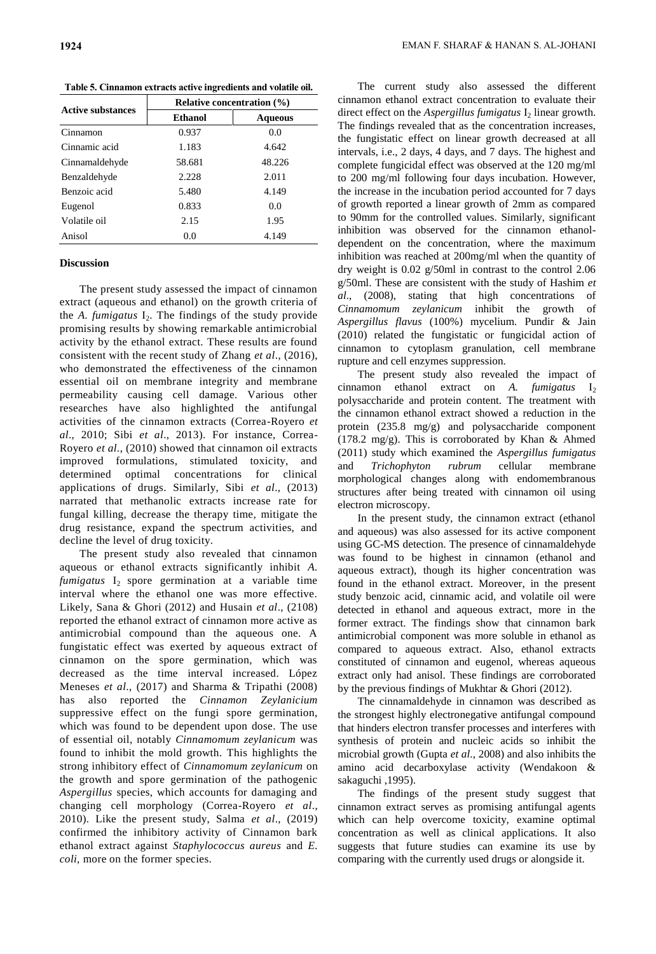**Table 5. Cinnamon extracts active ingredients and volatile oil.**

| Ethanol<br>0.937<br>1.183 | <b>Aqueous</b><br>0.0<br>4.642 |
|---------------------------|--------------------------------|
|                           |                                |
|                           |                                |
|                           |                                |
| 58.681                    | 48.226                         |
| 2.228                     | 2.011                          |
| 5.480                     | 4.149                          |
| 0.833                     | 0.0                            |
| 2.15                      | 1.95                           |
| 0.0                       | 4.149                          |
|                           |                                |

### **Discussion**

The present study assessed the impact of cinnamon extract (aqueous and ethanol) on the growth criteria of the *A. fumigatus* I<sub>2</sub>. The findings of the study provide promising results by showing remarkable antimicrobial activity by the ethanol extract. These results are found consistent with the recent study of Zhang *et al*., (2016), who demonstrated the effectiveness of the cinnamon essential oil on membrane integrity and membrane permeability causing cell damage. Various other researches have also highlighted the antifungal activities of the cinnamon extracts (Correa-Royero *et al*., 2010; Sibi *et al*., 2013). For instance, Correa-Royero *et al*., (2010) showed that cinnamon oil extracts improved formulations, stimulated toxicity, and determined optimal concentrations for clinical applications of drugs. Similarly, Sibi *et al*., (2013) narrated that methanolic extracts increase rate for fungal killing, decrease the therapy time, mitigate the drug resistance, expand the spectrum activities, and decline the level of drug toxicity.

The present study also revealed that cinnamon aqueous or ethanol extracts significantly inhibit *A.*   $f$ umigatus  $I_2$  spore germination at a variable time interval where the ethanol one was more effective. Likely, Sana & Ghori (2012) and Husain *et al*., (2108) reported the ethanol extract of cinnamon more active as antimicrobial compound than the aqueous one. A fungistatic effect was exerted by aqueous extract of cinnamon on the spore germination, which was decreased as the time interval increased. López Meneses *et al*., (2017) and Sharma & Tripathi (2008) has also reported the *Cinnamon Zeylanicium*  suppressive effect on the fungi spore germination, which was found to be dependent upon dose. The use of essential oil, notably *Cinnamomum zeylanicum* was found to inhibit the mold growth. This highlights the strong inhibitory effect of *Cinnamomum zeylanicum* on the growth and spore germination of the pathogenic *Aspergillus* species, which accounts for damaging and changing cell morphology (Correa-Royero *et al*., 2010). Like the present study, Salma *et al*., (2019) confirmed the inhibitory activity of Cinnamon bark ethanol extract against *Staphylococcus aureus* and *E. coli,* more on the former species.

The current study also assessed the different cinnamon ethanol extract concentration to evaluate their direct effect on the *Aspergillus fumigatus* I<sub>2</sub> linear growth. The findings revealed that as the concentration increases, the fungistatic effect on linear growth decreased at all intervals, i.e., 2 days, 4 days, and 7 days. The highest and complete fungicidal effect was observed at the 120 mg/ml to 200 mg/ml following four days incubation. However, the increase in the incubation period accounted for 7 days of growth reported a linear growth of 2mm as compared to 90mm for the controlled values. Similarly, significant inhibition was observed for the cinnamon ethanoldependent on the concentration, where the maximum inhibition was reached at 200mg/ml when the quantity of dry weight is 0.02 g/50ml in contrast to the control 2.06 g/50ml. These are consistent with the study of Hashim *et al*., (2008), stating that high concentrations of *Cinnamomum zeylanicum* inhibit the growth of *Aspergillus flavus* (100%) mycelium. Pundir & Jain (2010) related the fungistatic or fungicidal action of cinnamon to cytoplasm granulation, cell membrane rupture and cell enzymes suppression.

The present study also revealed the impact of cinnamon ethanol extract on *A. fumigatus* I<sub>2</sub> polysaccharide and protein content. The treatment with the cinnamon ethanol extract showed a reduction in the protein (235.8 mg/g) and polysaccharide component (178.2 mg/g). This is corroborated by Khan & Ahmed (2011) study which examined the *Aspergillus fumigatus*  and *Trichophyton rubrum* cellular membrane morphological changes along with endomembranous structures after being treated with cinnamon oil using electron microscopy.

In the present study, the cinnamon extract (ethanol and aqueous) was also assessed for its active component using GC-MS detection. The presence of cinnamaldehyde was found to be highest in cinnamon (ethanol and aqueous extract), though its higher concentration was found in the ethanol extract. Moreover, in the present study benzoic acid, cinnamic acid, and volatile oil were detected in ethanol and aqueous extract, more in the former extract. The findings show that cinnamon bark antimicrobial component was more soluble in ethanol as compared to aqueous extract. Also, ethanol extracts constituted of cinnamon and eugenol, whereas aqueous extract only had anisol. These findings are corroborated by the previous findings of Mukhtar & Ghori (2012).

The cinnamaldehyde in cinnamon was described as the strongest highly electronegative antifungal compound that hinders electron transfer processes and interferes with synthesis of protein and nucleic acids so inhibit the microbial growth (Gupta *et al*., 2008) and also inhibits the amino acid decarboxylase activity (Wendakoon & sakaguchi ,1995).

The findings of the present study suggest that cinnamon extract serves as promising antifungal agents which can help overcome toxicity, examine optimal concentration as well as clinical applications. It also suggests that future studies can examine its use by comparing with the currently used drugs or alongside it.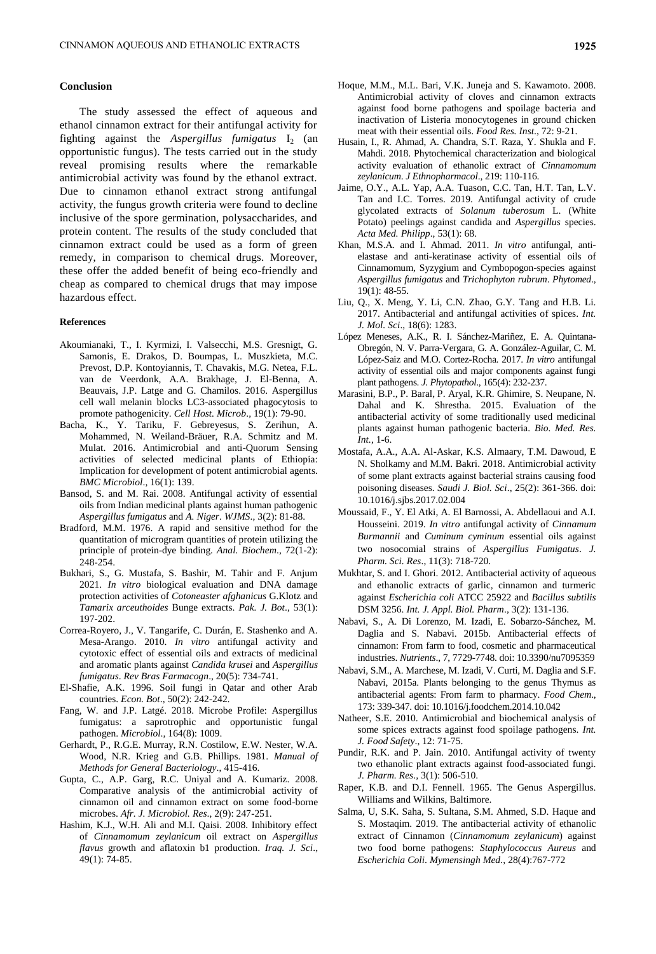### **Conclusion**

The study assessed the effect of aqueous and ethanol cinnamon extract for their antifungal activity for fighting against the *Aspergillus fumigatus* I<sub>2</sub> (an opportunistic fungus). The tests carried out in the study reveal promising results where the remarkable antimicrobial activity was found by the ethanol extract. Due to cinnamon ethanol extract strong antifungal activity, the fungus growth criteria were found to decline inclusive of the spore germination, polysaccharides, and protein content. The results of the study concluded that cinnamon extract could be used as a form of green remedy, in comparison to chemical drugs. Moreover, these offer the added benefit of being eco-friendly and cheap as compared to chemical drugs that may impose hazardous effect.

#### **References**

- Akoumianaki, T., I. Kyrmizi, I. Valsecchi, M.S. Gresnigt, G. Samonis, E. Drakos, D. Boumpas, L. Muszkieta, M.C. Prevost, D.P. Kontoyiannis, T. Chavakis, M.G. Netea, F.L. van de Veerdonk, A.A. Brakhage, J. El-Benna, A. Beauvais, J.P. Latge and G. Chamilos. 2016. Aspergillus cell wall melanin blocks LC3-associated phagocytosis to promote pathogenicity. *Cell Host. Microb*., 19(1): 79-90.
- Bacha, K., Y. Tariku, F. Gebreyesus, S. Zerihun, A. Mohammed, N. Weiland-Bräuer, R.A. Schmitz and M. Mulat. 2016. Antimicrobial and anti-Quorum Sensing activities of selected medicinal plants of Ethiopia: Implication for development of potent antimicrobial agents. *BMC Microbiol*., 16(1): 139.
- Bansod, S. and M. Rai. 2008. Antifungal activity of essential oils from Indian medicinal plants against human pathogenic *Aspergillus fumigatus* and *A. Niger*. *WJMS*., 3(2): 81-88.
- Bradford, M.M. 1976. A rapid and sensitive method for the quantitation of microgram quantities of protein utilizing the principle of protein-dye binding. *Anal. Biochem*., 72(1-2): 248-254.
- Bukhari, S., G. Mustafa, S. Bashir, M. Tahir and F. Anjum 2021. *In vitro* biological evaluation and DNA damage protection activities of *Cotoneaster afghanicus* G.Klotz and *Tamarix arceuthoides* Bunge extracts. *Pak. J. Bot*., 53(1): 197-202.
- Correa-Royero, J., V. Tangarife, C. Durán, E. Stashenko and A. Mesa-Arango. 2010. *In vitro* antifungal activity and cytotoxic effect of essential oils and extracts of medicinal and aromatic plants against *Candida krusei* and *Aspergillus fumigatus*. *Rev Bras Farmacogn*., 20(5): 734-741.
- El-Shafie, A.K. 1996. Soil fungi in Qatar and other Arab countries. *Econ. Bot*., 50(2): 242-242.
- Fang, W. and J.P. Latgé. 2018. Microbe Profile: Aspergillus fumigatus: a saprotrophic and opportunistic fungal pathogen. *Microbiol*., 164(8): 1009.
- Gerhardt, P., R.G.E. Murray, R.N. Costilow, E.W. Nester, W.A. Wood, N.R. Krieg and G.B. Phillips. 1981. *Manual of Methods for General Bacteriology*., 415-416.
- Gupta, C., A.P. Garg, R.C. Uniyal and A. Kumariz. 2008. Comparative analysis of the antimicrobial activity of cinnamon oil and cinnamon extract on some food-borne microbes. *Afr. J. Microbiol. Res*., 2(9): 247-251.
- Hashim, K.J., W.H. Ali and M.I. Qaisi. 2008. Inhibitory effect of *Cinnamomum zeylanicum* oil extract on *Aspergillus flavus* growth and aflatoxin b1 production. *Iraq. J. Sci*., 49(1): 74-85.
- Hoque, M.M., M.L. Bari, V.K. Juneja and S. Kawamoto. 2008. Antimicrobial activity of cloves and cinnamon extracts against food borne pathogens and spoilage bacteria and inactivation of Listeria monocytogenes in ground chicken meat with their essential oils. *Food Res. Inst*., 72: 9-21.
- Husain, I., R. Ahmad, A. Chandra, S.T. Raza, Y. Shukla and F. Mahdi. 2018. Phytochemical characterization and biological activity evaluation of ethanolic extract of *Cinnamomum zeylanicum*. *J Ethnopharmacol*., 219: 110-116.
- Jaime, O.Y., A.L. Yap, A.A. Tuason, C.C. Tan, H.T. Tan, L.V. Tan and I.C. Torres. 2019. Antifungal activity of crude glycolated extracts of *Solanum tuberosum* L. (White Potato) peelings against candida and *Aspergillus* species. *Acta Med. Philipp*., 53(1): 68.
- Khan, M.S.A. and I. Ahmad. 2011. *In vitro* antifungal, antielastase and anti-keratinase activity of essential oils of Cinnamomum, Syzygium and Cymbopogon-species against *Aspergillus fumigatus* and *Trichophyton rubrum*. *Phytomed*., 19(1): 48-55.
- Liu, Q., X. Meng, Y. Li, C.N. Zhao, G.Y. Tang and H.B. Li. 2017. Antibacterial and antifungal activities of spices. *Int. J. Mol. Sci*., 18(6): 1283.
- López Meneses, A.K., R. I. Sánchez-Mariñez, E. A. Quintana-Obregón, N. V. Parra-Vergara, G. A. González-Aguilar, C. M. López-Saiz and M.O. Cortez-Rocha. 2017. *In vitro* antifungal activity of essential oils and major components against fungi plant pathogens. *J. Phytopathol*., 165(4): 232-237.
- Marasini, B.P., P. Baral, P. Aryal, K.R. Ghimire, S. Neupane, N. Dahal and K. Shrestha. 2015. Evaluation of the antibacterial activity of some traditionally used medicinal plants against human pathogenic bacteria. *Bio. Med. Res. Int.*, 1-6.
- Mostafa, A.A., A.A. Al-Askar, K.S. Almaary, T.M. Dawoud, E N. Sholkamy and M.M. Bakri. 2018. Antimicrobial activity of some plant extracts against bacterial strains causing food poisoning diseases. *Saudi J. Biol. Sci*., 25(2): 361-366. doi: 10.1016/j.sjbs.2017.02.004
- Moussaid, F., Y. El Atki, A. El Barnossi, A. Abdellaoui and A.I. Housseini. 2019. *In vitro* antifungal activity of *Cinnamum Burmannii* and *Cuminum cyminum* essential oils against two nosocomial strains of *Aspergillus Fumigatus*. *J. Pharm. Sci. Res*., 11(3): 718-720.
- Mukhtar, S. and I. Ghori. 2012. Antibacterial activity of aqueous and ethanolic extracts of garlic, cinnamon and turmeric against *Escherichia coli* ATCC 25922 and *Bacillus subtilis* DSM 3256. *Int. J. Appl. Biol. Pharm*., 3(2): 131-136.
- Nabavi, S., A. Di Lorenzo, M. Izadi, E. Sobarzo-Sánchez, M. Daglia and S. Nabavi. 2015b. Antibacterial effects of cinnamon: From farm to food, cosmetic and pharmaceutical industries. *Nutrients*., 7, 7729-7748. doi: 10.3390/nu7095359
- Nabavi, S.M., A. Marchese, M. Izadi, V. Curti, M. Daglia and S.F. Nabavi, 2015a. Plants belonging to the genus Thymus as antibacterial agents: From farm to pharmacy. *Food Chem*., 173: 339-347. doi: 10.1016/j.foodchem.2014.10.042
- Natheer, S.E. 2010. Antimicrobial and biochemical analysis of some spices extracts against food spoilage pathogens. *Int. J. Food Safety*., 12: 71-75.
- Pundir, R.K. and P. Jain. 2010. Antifungal activity of twenty two ethanolic plant extracts against food-associated fungi. *J. Pharm. Res*., 3(1): 506-510.
- Raper, K.B. and D.I. Fennell. 1965. The Genus Aspergillus. Williams and Wilkins, Baltimore.
- Salma, U, S.K. Saha, S. Sultana, S.M. Ahmed, S.D. Haque and S. Mostaqim. 2019. The antibacterial activity of ethanolic extract of Cinnamon (*Cinnamomum zeylanicum*) against two food borne pathogens: *Staphylococcus Aureus* and *Escherichia Coli*. *Mymensingh Med.,* 28(4):767-772